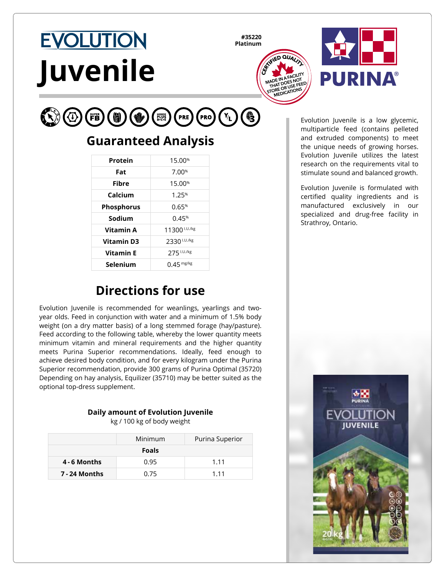# **EVOLUTION Juvenile**

**#35220 Platinum**





#### $\mathbb{C}$   $\circ$  $(Y_L)$  $(\mathsf{Pro})$ PRE

## **Guaranteed Analysis**

| Protein           | 15.00%             |
|-------------------|--------------------|
| Fat               | 7.00%              |
| <b>Fibre</b>      | 15.00 <sup>%</sup> |
| Calcium           | 1.25%              |
| <b>Phosphorus</b> | 0.65%              |
| Sodium            | 0.45%              |
| Vitamin A         | 11300 1.U./kg      |
| <b>Vitamin D3</b> | 2330 I.U./kg       |
| <b>Vitamin E</b>  | 275 I.U./kg        |
| Selenium          | $0.45$ mg/kg       |

## **Directions for use**

Evolution Juvenile is recommended for weanlings, yearlings and twoyear olds. Feed in conjunction with water and a minimum of 1.5% body weight (on a dry matter basis) of a long stemmed forage (hay/pasture). Feed according to the following table, whereby the lower quantity meets minimum vitamin and mineral requirements and the higher quantity meets Purina Superior recommendations. Ideally, feed enough to achieve desired body condition, and for every kilogram under the Purina Superior recommendation, provide 300 grams of Purina Optimal (35720) Depending on hay analysis, Equilizer (35710) may be better suited as the optional top-dress supplement.

#### **Daily amount of Evolution Juvenile**

kg / 100 kg of body weight

|               | Minimum | Purina Superior |
|---------------|---------|-----------------|
| <b>Foals</b>  |         |                 |
| 4 - 6 Months  | 0.95    | 1 1 1           |
| 7 - 24 Months | 0.75    | 1 1 1           |

Evolution Juvenile is a low glycemic, multiparticle feed (contains pelleted and extruded components) to meet the unique needs of growing horses. Evolution Juvenile utilizes the latest research on the requirements vital to stimulate sound and balanced growth.

Evolution Juvenile is formulated with certified quality ingredients and is manufactured exclusively in our specialized and drug-free facility in Strathroy, Ontario.